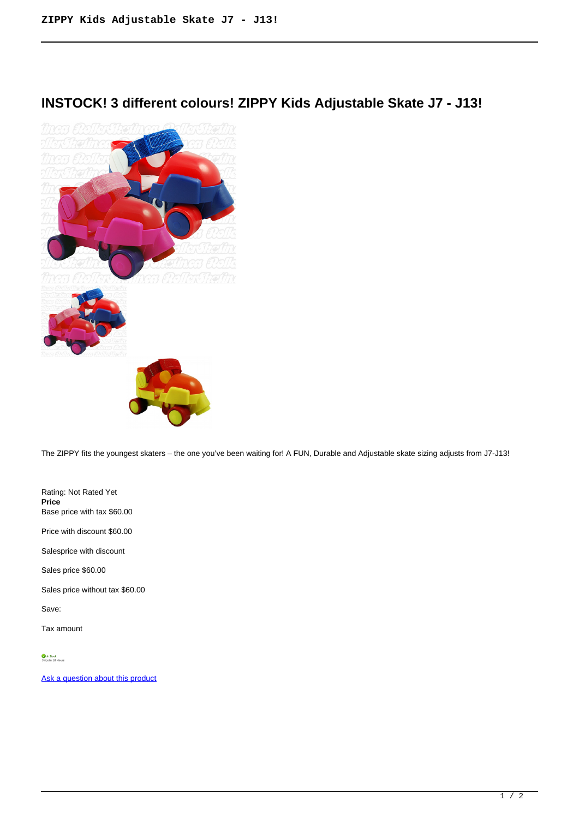## **INSTOCK! 3 different colours! ZIPPY Kids Adjustable Skate J7 - J13!**



The ZIPPY fits the youngest skaters – the one you've been waiting for! A FUN, Durable and Adjustable skate sizing adjusts from J7-J13!

Rating: Not Rated Yet **Price**  Base price with tax \$60.00

Price with discount \$60.00

Salesprice with discount

Sales price \$60.00

Sales price without tax \$60.00

Save:

Tax amount

[Ask a question about this product](https://rollerskatin.ca/index.php?option=com_virtuemart&view=productdetails&task=askquestion&virtuemart_product_id=837&virtuemart_category_id=28&tmpl=component)